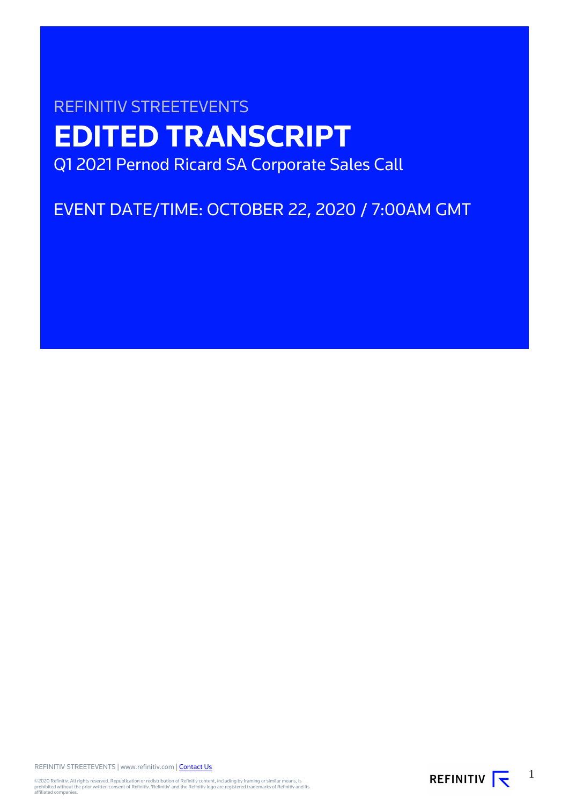# REFINITIV STREETEVENTS **EDITED TRANSCRIPT** Q1 2021 Pernod Ricard SA Corporate Sales Call

EVENT DATE/TIME: OCTOBER 22, 2020 / 7:00AM GMT

REFINITIV STREETEVENTS | www.refinitiv.com | [Contact Us](https://www.refinitiv.com/en/contact-us)

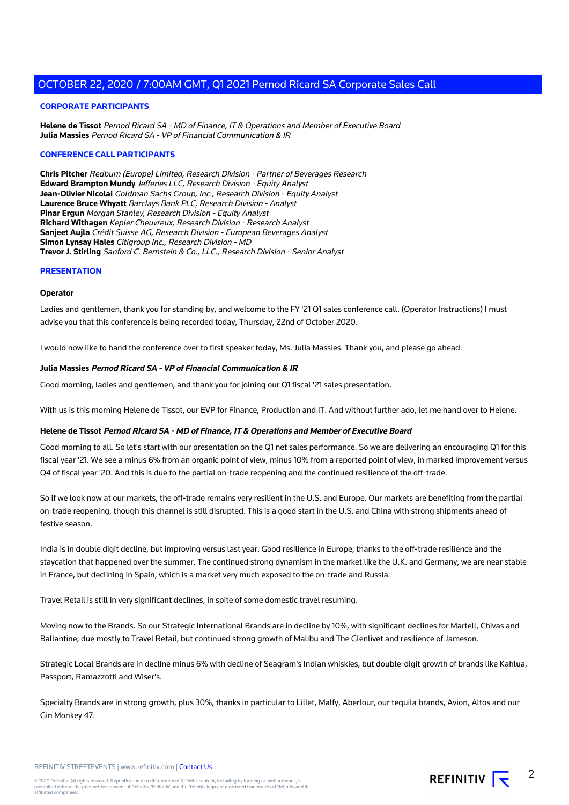#### **CORPORATE PARTICIPANTS**

**Helene de Tissot** Pernod Ricard SA - MD of Finance, IT & Operations and Member of Executive Board **Julia Massies** Pernod Ricard SA - VP of Financial Communication & IR

#### **CONFERENCE CALL PARTICIPANTS**

**Chris Pitcher** Redburn (Europe) Limited, Research Division - Partner of Beverages Research **Edward Brampton Mundy** Jefferies LLC, Research Division - Equity Analyst **Jean-Olivier Nicolai** Goldman Sachs Group, Inc., Research Division - Equity Analyst **Laurence Bruce Whyatt** Barclays Bank PLC, Research Division - Analyst **Pinar Ergun** Morgan Stanley, Research Division - Equity Analyst **Richard Withagen** Kepler Cheuvreux, Research Division - Research Analyst **Sanjeet Aujla** Crédit Suisse AG, Research Division - European Beverages Analyst **Simon Lynsay Hales** Citigroup Inc., Research Division - MD **Trevor J. Stirling** Sanford C. Bernstein & Co., LLC., Research Division - Senior Analyst

#### **PRESENTATION**

#### **Operator**

Ladies and gentlemen, thank you for standing by, and welcome to the FY '21 Q1 sales conference call. (Operator Instructions) I must advise you that this conference is being recorded today, Thursday, 22nd of October 2020.

I would now like to hand the conference over to first speaker today, Ms. Julia Massies. Thank you, and please go ahead.

#### **Julia Massies Pernod Ricard SA - VP of Financial Communication & IR**

Good morning, ladies and gentlemen, and thank you for joining our Q1 fiscal '21 sales presentation.

With us is this morning Helene de Tissot, our EVP for Finance, Production and IT. And without further ado, let me hand over to Helene.

#### **Helene de Tissot Pernod Ricard SA - MD of Finance, IT & Operations and Member of Executive Board**

Good morning to all. So let's start with our presentation on the Q1 net sales performance. So we are delivering an encouraging Q1 for this fiscal year '21. We see a minus 6% from an organic point of view, minus 10% from a reported point of view, in marked improvement versus Q4 of fiscal year '20. And this is due to the partial on-trade reopening and the continued resilience of the off-trade.

So if we look now at our markets, the off-trade remains very resilient in the U.S. and Europe. Our markets are benefiting from the partial on-trade reopening, though this channel is still disrupted. This is a good start in the U.S. and China with strong shipments ahead of festive season.

India is in double digit decline, but improving versus last year. Good resilience in Europe, thanks to the off-trade resilience and the staycation that happened over the summer. The continued strong dynamism in the market like the U.K. and Germany, we are near stable in France, but declining in Spain, which is a market very much exposed to the on-trade and Russia.

Travel Retail is still in very significant declines, in spite of some domestic travel resuming.

Moving now to the Brands. So our Strategic International Brands are in decline by 10%, with significant declines for Martell, Chivas and Ballantine, due mostly to Travel Retail, but continued strong growth of Malibu and The Glenlivet and resilience of Jameson.

Strategic Local Brands are in decline minus 6% with decline of Seagram's Indian whiskies, but double-digit growth of brands like Kahlua, Passport, Ramazzotti and Wiser's.

Specialty Brands are in strong growth, plus 30%, thanks in particular to Lillet, Malfy, Aberlour, our tequila brands, Avion, Altos and our Gin Monkey 47.

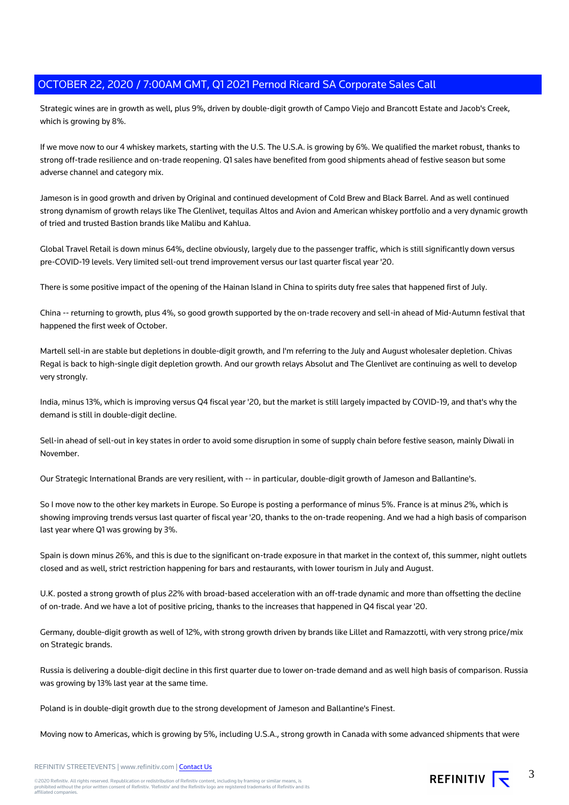Strategic wines are in growth as well, plus 9%, driven by double-digit growth of Campo Viejo and Brancott Estate and Jacob's Creek, which is growing by 8%.

If we move now to our 4 whiskey markets, starting with the U.S. The U.S.A. is growing by 6%. We qualified the market robust, thanks to strong off-trade resilience and on-trade reopening. Q1 sales have benefited from good shipments ahead of festive season but some adverse channel and category mix.

Jameson is in good growth and driven by Original and continued development of Cold Brew and Black Barrel. And as well continued strong dynamism of growth relays like The Glenlivet, tequilas Altos and Avion and American whiskey portfolio and a very dynamic growth of tried and trusted Bastion brands like Malibu and Kahlua.

Global Travel Retail is down minus 64%, decline obviously, largely due to the passenger traffic, which is still significantly down versus pre-COVID-19 levels. Very limited sell-out trend improvement versus our last quarter fiscal year '20.

There is some positive impact of the opening of the Hainan Island in China to spirits duty free sales that happened first of July.

China -- returning to growth, plus 4%, so good growth supported by the on-trade recovery and sell-in ahead of Mid-Autumn festival that happened the first week of October.

Martell sell-in are stable but depletions in double-digit growth, and I'm referring to the July and August wholesaler depletion. Chivas Regal is back to high-single digit depletion growth. And our growth relays Absolut and The Glenlivet are continuing as well to develop very strongly.

India, minus 13%, which is improving versus Q4 fiscal year '20, but the market is still largely impacted by COVID-19, and that's why the demand is still in double-digit decline.

Sell-in ahead of sell-out in key states in order to avoid some disruption in some of supply chain before festive season, mainly Diwali in November.

Our Strategic International Brands are very resilient, with -- in particular, double-digit growth of Jameson and Ballantine's.

So I move now to the other key markets in Europe. So Europe is posting a performance of minus 5%. France is at minus 2%, which is showing improving trends versus last quarter of fiscal year '20, thanks to the on-trade reopening. And we had a high basis of comparison last year where Q1 was growing by 3%.

Spain is down minus 26%, and this is due to the significant on-trade exposure in that market in the context of, this summer, night outlets closed and as well, strict restriction happening for bars and restaurants, with lower tourism in July and August.

U.K. posted a strong growth of plus 22% with broad-based acceleration with an off-trade dynamic and more than offsetting the decline of on-trade. And we have a lot of positive pricing, thanks to the increases that happened in Q4 fiscal year '20.

Germany, double-digit growth as well of 12%, with strong growth driven by brands like Lillet and Ramazzotti, with very strong price/mix on Strategic brands.

Russia is delivering a double-digit decline in this first quarter due to lower on-trade demand and as well high basis of comparison. Russia was growing by 13% last year at the same time.

Poland is in double-digit growth due to the strong development of Jameson and Ballantine's Finest.

Moving now to Americas, which is growing by 5%, including U.S.A., strong growth in Canada with some advanced shipments that were

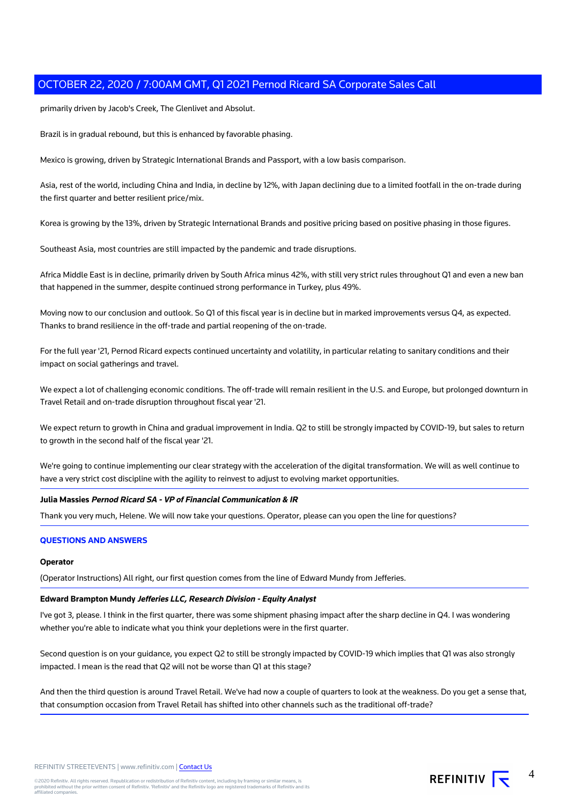primarily driven by Jacob's Creek, The Glenlivet and Absolut.

Brazil is in gradual rebound, but this is enhanced by favorable phasing.

Mexico is growing, driven by Strategic International Brands and Passport, with a low basis comparison.

Asia, rest of the world, including China and India, in decline by 12%, with Japan declining due to a limited footfall in the on-trade during the first quarter and better resilient price/mix.

Korea is growing by the 13%, driven by Strategic International Brands and positive pricing based on positive phasing in those figures.

Southeast Asia, most countries are still impacted by the pandemic and trade disruptions.

Africa Middle East is in decline, primarily driven by South Africa minus 42%, with still very strict rules throughout Q1 and even a new ban that happened in the summer, despite continued strong performance in Turkey, plus 49%.

Moving now to our conclusion and outlook. So Q1 of this fiscal year is in decline but in marked improvements versus Q4, as expected. Thanks to brand resilience in the off-trade and partial reopening of the on-trade.

For the full year '21, Pernod Ricard expects continued uncertainty and volatility, in particular relating to sanitary conditions and their impact on social gatherings and travel.

We expect a lot of challenging economic conditions. The off-trade will remain resilient in the U.S. and Europe, but prolonged downturn in Travel Retail and on-trade disruption throughout fiscal year '21.

We expect return to growth in China and gradual improvement in India. Q2 to still be strongly impacted by COVID-19, but sales to return to growth in the second half of the fiscal year '21.

We're going to continue implementing our clear strategy with the acceleration of the digital transformation. We will as well continue to have a very strict cost discipline with the agility to reinvest to adjust to evolving market opportunities.

#### **Julia Massies Pernod Ricard SA - VP of Financial Communication & IR**

Thank you very much, Helene. We will now take your questions. Operator, please can you open the line for questions?

# **QUESTIONS AND ANSWERS**

#### **Operator**

(Operator Instructions) All right, our first question comes from the line of Edward Mundy from Jefferies.

#### **Edward Brampton Mundy Jefferies LLC, Research Division - Equity Analyst**

I've got 3, please. I think in the first quarter, there was some shipment phasing impact after the sharp decline in Q4. I was wondering whether you're able to indicate what you think your depletions were in the first quarter.

Second question is on your guidance, you expect Q2 to still be strongly impacted by COVID-19 which implies that Q1 was also strongly impacted. I mean is the read that Q2 will not be worse than Q1 at this stage?

And then the third question is around Travel Retail. We've had now a couple of quarters to look at the weakness. Do you get a sense that, that consumption occasion from Travel Retail has shifted into other channels such as the traditional off-trade?

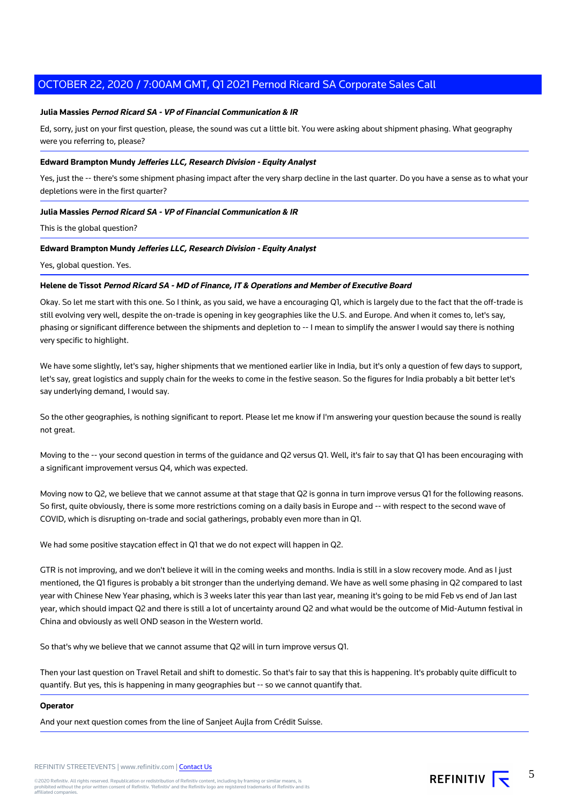## **Julia Massies Pernod Ricard SA - VP of Financial Communication & IR**

Ed, sorry, just on your first question, please, the sound was cut a little bit. You were asking about shipment phasing. What geography were you referring to, please?

### **Edward Brampton Mundy Jefferies LLC, Research Division - Equity Analyst**

Yes, just the -- there's some shipment phasing impact after the very sharp decline in the last quarter. Do you have a sense as to what your depletions were in the first quarter?

#### **Julia Massies Pernod Ricard SA - VP of Financial Communication & IR**

This is the global question?

#### **Edward Brampton Mundy Jefferies LLC, Research Division - Equity Analyst**

Yes, global question. Yes.

### **Helene de Tissot Pernod Ricard SA - MD of Finance, IT & Operations and Member of Executive Board**

Okay. So let me start with this one. So I think, as you said, we have a encouraging Q1, which is largely due to the fact that the off-trade is still evolving very well, despite the on-trade is opening in key geographies like the U.S. and Europe. And when it comes to, let's say, phasing or significant difference between the shipments and depletion to -- I mean to simplify the answer I would say there is nothing very specific to highlight.

We have some slightly, let's say, higher shipments that we mentioned earlier like in India, but it's only a question of few days to support, let's say, great logistics and supply chain for the weeks to come in the festive season. So the figures for India probably a bit better let's say underlying demand, I would say.

So the other geographies, is nothing significant to report. Please let me know if I'm answering your question because the sound is really not great.

Moving to the -- your second question in terms of the guidance and Q2 versus Q1. Well, it's fair to say that Q1 has been encouraging with a significant improvement versus Q4, which was expected.

Moving now to Q2, we believe that we cannot assume at that stage that Q2 is gonna in turn improve versus Q1 for the following reasons. So first, quite obviously, there is some more restrictions coming on a daily basis in Europe and -- with respect to the second wave of COVID, which is disrupting on-trade and social gatherings, probably even more than in Q1.

We had some positive staycation effect in Q1 that we do not expect will happen in Q2.

GTR is not improving, and we don't believe it will in the coming weeks and months. India is still in a slow recovery mode. And as I just mentioned, the Q1 figures is probably a bit stronger than the underlying demand. We have as well some phasing in Q2 compared to last year with Chinese New Year phasing, which is 3 weeks later this year than last year, meaning it's going to be mid Feb vs end of Jan last year, which should impact Q2 and there is still a lot of uncertainty around Q2 and what would be the outcome of Mid-Autumn festival in China and obviously as well OND season in the Western world.

So that's why we believe that we cannot assume that Q2 will in turn improve versus Q1.

Then your last question on Travel Retail and shift to domestic. So that's fair to say that this is happening. It's probably quite difficult to quantify. But yes, this is happening in many geographies but -- so we cannot quantify that.

#### **Operator**

And your next question comes from the line of Sanjeet Aujla from Crédit Suisse.

REFINITIV STREETEVENTS | www.refinitiv.com | [Contact Us](https://www.refinitiv.com/en/contact-us)

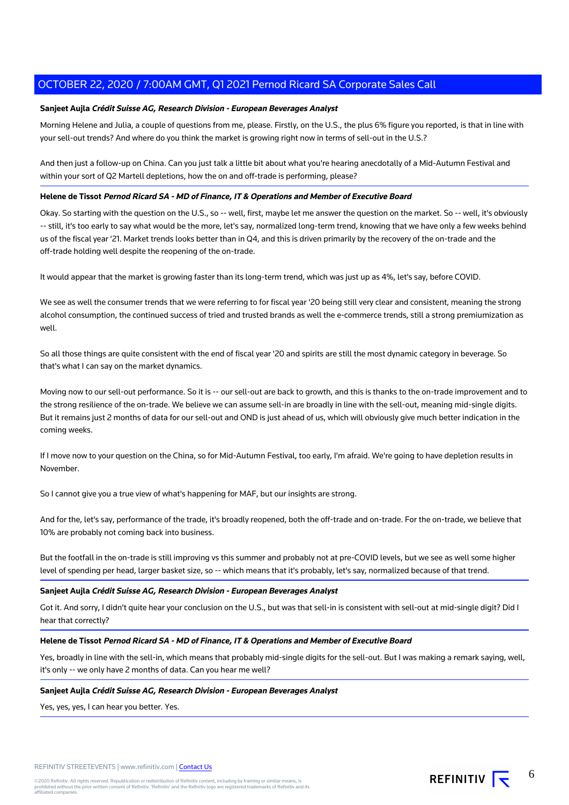# **Sanjeet Aujla Crédit Suisse AG, Research Division - European Beverages Analyst**

Morning Helene and Julia, a couple of questions from me, please. Firstly, on the U.S., the plus 6% figure you reported, is that in line with your sell-out trends? And where do you think the market is growing right now in terms of sell-out in the U.S.?

And then just a follow-up on China. Can you just talk a little bit about what you're hearing anecdotally of a Mid-Autumn Festival and within your sort of Q2 Martell depletions, how the on and off-trade is performing, please?

# **Helene de Tissot Pernod Ricard SA - MD of Finance, IT & Operations and Member of Executive Board**

Okay. So starting with the question on the U.S., so -- well, first, maybe let me answer the question on the market. So -- well, it's obviously -- still, it's too early to say what would be the more, let's say, normalized long-term trend, knowing that we have only a few weeks behind us of the fiscal year '21. Market trends looks better than in Q4, and this is driven primarily by the recovery of the on-trade and the off-trade holding well despite the reopening of the on-trade.

It would appear that the market is growing faster than its long-term trend, which was just up as 4%, let's say, before COVID.

We see as well the consumer trends that we were referring to for fiscal year '20 being still very clear and consistent, meaning the strong alcohol consumption, the continued success of tried and trusted brands as well the e-commerce trends, still a strong premiumization as well.

So all those things are quite consistent with the end of fiscal year '20 and spirits are still the most dynamic category in beverage. So that's what I can say on the market dynamics.

Moving now to our sell-out performance. So it is -- our sell-out are back to growth, and this is thanks to the on-trade improvement and to the strong resilience of the on-trade. We believe we can assume sell-in are broadly in line with the sell-out, meaning mid-single digits. But it remains just 2 months of data for our sell-out and OND is just ahead of us, which will obviously give much better indication in the coming weeks.

If I move now to your question on the China, so for Mid-Autumn Festival, too early, I'm afraid. We're going to have depletion results in November.

So I cannot give you a true view of what's happening for MAF, but our insights are strong.

And for the, let's say, performance of the trade, it's broadly reopened, both the off-trade and on-trade. For the on-trade, we believe that 10% are probably not coming back into business.

But the footfall in the on-trade is still improving vs this summer and probably not at pre-COVID levels, but we see as well some higher level of spending per head, larger basket size, so -- which means that it's probably, let's say, normalized because of that trend.

# **Sanjeet Aujla Crédit Suisse AG, Research Division - European Beverages Analyst**

Got it. And sorry, I didn't quite hear your conclusion on the U.S., but was that sell-in is consistent with sell-out at mid-single digit? Did I hear that correctly?

# **Helene de Tissot Pernod Ricard SA - MD of Finance, IT & Operations and Member of Executive Board**

Yes, broadly in line with the sell-in, which means that probably mid-single digits for the sell-out. But I was making a remark saying, well, it's only -- we only have 2 months of data. Can you hear me well?

#### **Sanjeet Aujla Crédit Suisse AG, Research Division - European Beverages Analyst**

Yes, yes, yes, I can hear you better. Yes.

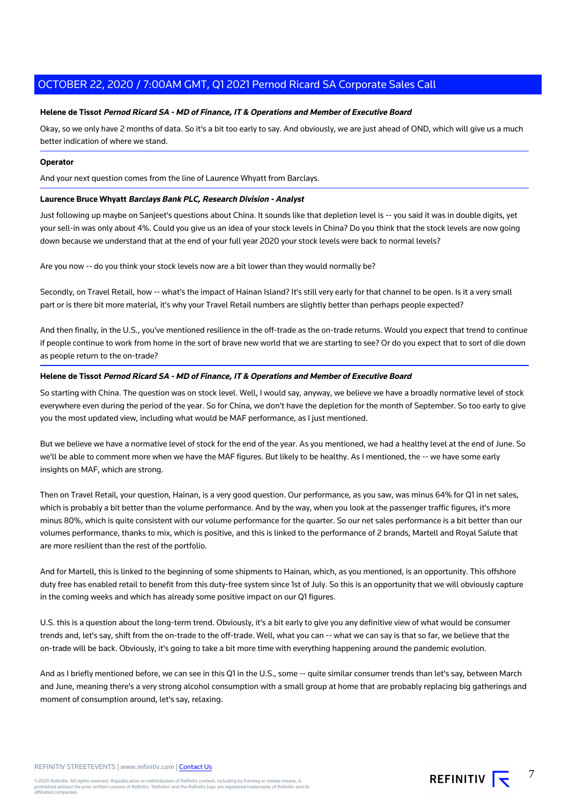# **Helene de Tissot Pernod Ricard SA - MD of Finance, IT & Operations and Member of Executive Board**

Okay, so we only have 2 months of data. So it's a bit too early to say. And obviously, we are just ahead of OND, which will give us a much better indication of where we stand.

# **Operator**

And your next question comes from the line of Laurence Whyatt from Barclays.

# **Laurence Bruce Whyatt Barclays Bank PLC, Research Division - Analyst**

Just following up maybe on Sanjeet's questions about China. It sounds like that depletion level is -- you said it was in double digits, yet your sell-in was only about 4%. Could you give us an idea of your stock levels in China? Do you think that the stock levels are now going down because we understand that at the end of your full year 2020 your stock levels were back to normal levels?

Are you now -- do you think your stock levels now are a bit lower than they would normally be?

Secondly, on Travel Retail, how -- what's the impact of Hainan Island? It's still very early for that channel to be open. Is it a very small part or is there bit more material, it's why your Travel Retail numbers are slightly better than perhaps people expected?

And then finally, in the U.S., you've mentioned resilience in the off-trade as the on-trade returns. Would you expect that trend to continue if people continue to work from home in the sort of brave new world that we are starting to see? Or do you expect that to sort of die down as people return to the on-trade?

## **Helene de Tissot Pernod Ricard SA - MD of Finance, IT & Operations and Member of Executive Board**

So starting with China. The question was on stock level. Well, I would say, anyway, we believe we have a broadly normative level of stock everywhere even during the period of the year. So for China, we don't have the depletion for the month of September. So too early to give you the most updated view, including what would be MAF performance, as I just mentioned.

But we believe we have a normative level of stock for the end of the year. As you mentioned, we had a healthy level at the end of June. So we'll be able to comment more when we have the MAF figures. But likely to be healthy. As I mentioned, the -- we have some early insights on MAF, which are strong.

Then on Travel Retail, your question, Hainan, is a very good question. Our performance, as you saw, was minus 64% for Q1 in net sales, which is probably a bit better than the volume performance. And by the way, when you look at the passenger traffic figures, it's more minus 80%, which is quite consistent with our volume performance for the quarter. So our net sales performance is a bit better than our volumes performance, thanks to mix, which is positive, and this is linked to the performance of 2 brands, Martell and Royal Salute that are more resilient than the rest of the portfolio.

And for Martell, this is linked to the beginning of some shipments to Hainan, which, as you mentioned, is an opportunity. This offshore duty free has enabled retail to benefit from this duty-free system since 1st of July. So this is an opportunity that we will obviously capture in the coming weeks and which has already some positive impact on our Q1 figures.

U.S. this is a question about the long-term trend. Obviously, it's a bit early to give you any definitive view of what would be consumer trends and, let's say, shift from the on-trade to the off-trade. Well, what you can -- what we can say is that so far, we believe that the on-trade will be back. Obviously, it's going to take a bit more time with everything happening around the pandemic evolution.

And as I briefly mentioned before, we can see in this Q1 in the U.S., some -- quite similar consumer trends than let's say, between March and June, meaning there's a very strong alcohol consumption with a small group at home that are probably replacing big gatherings and moment of consumption around, let's say, relaxing.

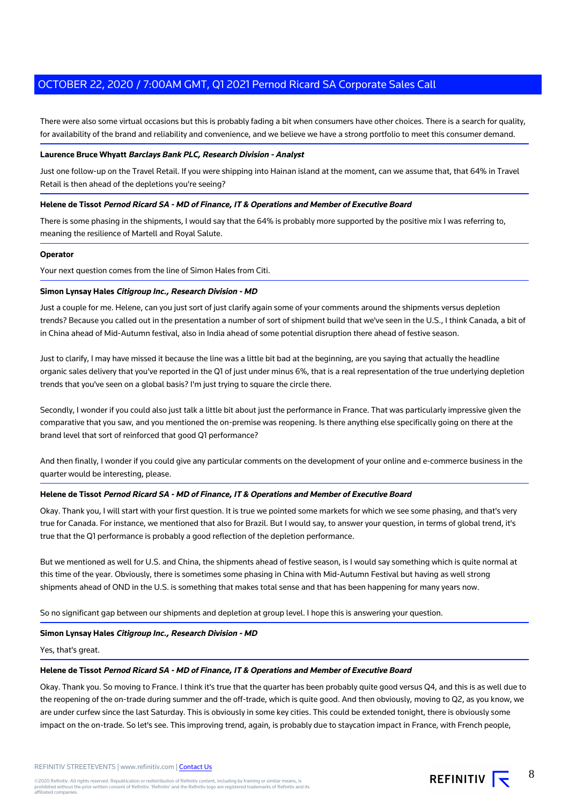There were also some virtual occasions but this is probably fading a bit when consumers have other choices. There is a search for quality, for availability of the brand and reliability and convenience, and we believe we have a strong portfolio to meet this consumer demand.

#### **Laurence Bruce Whyatt Barclays Bank PLC, Research Division - Analyst**

Just one follow-up on the Travel Retail. If you were shipping into Hainan island at the moment, can we assume that, that 64% in Travel Retail is then ahead of the depletions you're seeing?

#### **Helene de Tissot Pernod Ricard SA - MD of Finance, IT & Operations and Member of Executive Board**

There is some phasing in the shipments, I would say that the 64% is probably more supported by the positive mix I was referring to, meaning the resilience of Martell and Royal Salute.

#### **Operator**

Your next question comes from the line of Simon Hales from Citi.

#### **Simon Lynsay Hales Citigroup Inc., Research Division - MD**

Just a couple for me. Helene, can you just sort of just clarify again some of your comments around the shipments versus depletion trends? Because you called out in the presentation a number of sort of shipment build that we've seen in the U.S., I think Canada, a bit of in China ahead of Mid-Autumn festival, also in India ahead of some potential disruption there ahead of festive season.

Just to clarify, I may have missed it because the line was a little bit bad at the beginning, are you saying that actually the headline organic sales delivery that you've reported in the Q1 of just under minus 6%, that is a real representation of the true underlying depletion trends that you've seen on a global basis? I'm just trying to square the circle there.

Secondly, I wonder if you could also just talk a little bit about just the performance in France. That was particularly impressive given the comparative that you saw, and you mentioned the on-premise was reopening. Is there anything else specifically going on there at the brand level that sort of reinforced that good Q1 performance?

And then finally, I wonder if you could give any particular comments on the development of your online and e-commerce business in the quarter would be interesting, please.

#### **Helene de Tissot Pernod Ricard SA - MD of Finance, IT & Operations and Member of Executive Board**

Okay. Thank you, I will start with your first question. It is true we pointed some markets for which we see some phasing, and that's very true for Canada. For instance, we mentioned that also for Brazil. But I would say, to answer your question, in terms of global trend, it's true that the Q1 performance is probably a good reflection of the depletion performance.

But we mentioned as well for U.S. and China, the shipments ahead of festive season, is I would say something which is quite normal at this time of the year. Obviously, there is sometimes some phasing in China with Mid-Autumn Festival but having as well strong shipments ahead of OND in the U.S. is something that makes total sense and that has been happening for many years now.

So no significant gap between our shipments and depletion at group level. I hope this is answering your question.

#### **Simon Lynsay Hales Citigroup Inc., Research Division - MD**

Yes, that's great.

#### **Helene de Tissot Pernod Ricard SA - MD of Finance, IT & Operations and Member of Executive Board**

Okay. Thank you. So moving to France. I think it's true that the quarter has been probably quite good versus Q4, and this is as well due to the reopening of the on-trade during summer and the off-trade, which is quite good. And then obviously, moving to Q2, as you know, we are under curfew since the last Saturday. This is obviously in some key cities. This could be extended tonight, there is obviously some impact on the on-trade. So let's see. This improving trend, again, is probably due to staycation impact in France, with French people,

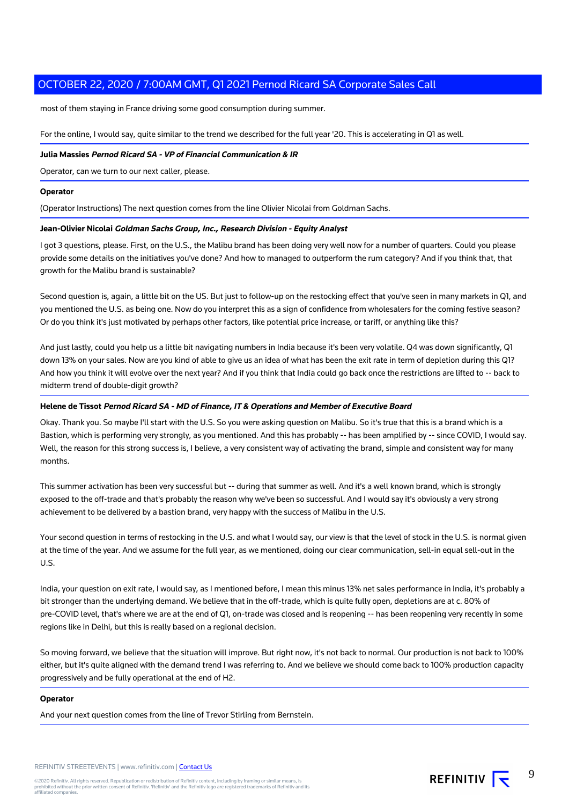most of them staying in France driving some good consumption during summer.

For the online, I would say, quite similar to the trend we described for the full year '20. This is accelerating in Q1 as well.

#### **Julia Massies Pernod Ricard SA - VP of Financial Communication & IR**

Operator, can we turn to our next caller, please.

#### **Operator**

(Operator Instructions) The next question comes from the line Olivier Nicolai from Goldman Sachs.

# **Jean-Olivier Nicolai Goldman Sachs Group, Inc., Research Division - Equity Analyst**

I got 3 questions, please. First, on the U.S., the Malibu brand has been doing very well now for a number of quarters. Could you please provide some details on the initiatives you've done? And how to managed to outperform the rum category? And if you think that, that growth for the Malibu brand is sustainable?

Second question is, again, a little bit on the US. But just to follow-up on the restocking effect that you've seen in many markets in Q1, and you mentioned the U.S. as being one. Now do you interpret this as a sign of confidence from wholesalers for the coming festive season? Or do you think it's just motivated by perhaps other factors, like potential price increase, or tariff, or anything like this?

And just lastly, could you help us a little bit navigating numbers in India because it's been very volatile. Q4 was down significantly, Q1 down 13% on your sales. Now are you kind of able to give us an idea of what has been the exit rate in term of depletion during this Q1? And how you think it will evolve over the next year? And if you think that India could go back once the restrictions are lifted to -- back to midterm trend of double-digit growth?

## **Helene de Tissot Pernod Ricard SA - MD of Finance, IT & Operations and Member of Executive Board**

Okay. Thank you. So maybe I'll start with the U.S. So you were asking question on Malibu. So it's true that this is a brand which is a Bastion, which is performing very strongly, as you mentioned. And this has probably -- has been amplified by -- since COVID, I would say. Well, the reason for this strong success is, I believe, a very consistent way of activating the brand, simple and consistent way for many months.

This summer activation has been very successful but -- during that summer as well. And it's a well known brand, which is strongly exposed to the off-trade and that's probably the reason why we've been so successful. And I would say it's obviously a very strong achievement to be delivered by a bastion brand, very happy with the success of Malibu in the U.S.

Your second question in terms of restocking in the U.S. and what I would say, our view is that the level of stock in the U.S. is normal given at the time of the year. And we assume for the full year, as we mentioned, doing our clear communication, sell-in equal sell-out in the U.S.

India, your question on exit rate, I would say, as I mentioned before, I mean this minus 13% net sales performance in India, it's probably a bit stronger than the underlying demand. We believe that in the off-trade, which is quite fully open, depletions are at c. 80% of pre-COVID level, that's where we are at the end of Q1, on-trade was closed and is reopening -- has been reopening very recently in some regions like in Delhi, but this is really based on a regional decision.

So moving forward, we believe that the situation will improve. But right now, it's not back to normal. Our production is not back to 100% either, but it's quite aligned with the demand trend I was referring to. And we believe we should come back to 100% production capacity progressively and be fully operational at the end of H2.

#### **Operator**

And your next question comes from the line of Trevor Stirling from Bernstein.

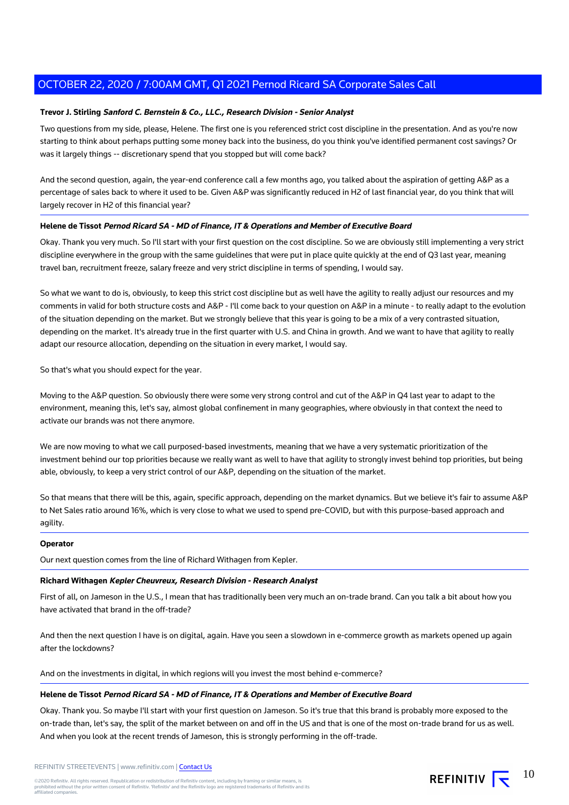# **Trevor J. Stirling Sanford C. Bernstein & Co., LLC., Research Division - Senior Analyst**

Two questions from my side, please, Helene. The first one is you referenced strict cost discipline in the presentation. And as you're now starting to think about perhaps putting some money back into the business, do you think you've identified permanent cost savings? Or was it largely things -- discretionary spend that you stopped but will come back?

And the second question, again, the year-end conference call a few months ago, you talked about the aspiration of getting A&P as a percentage of sales back to where it used to be. Given A&P was significantly reduced in H2 of last financial year, do you think that will largely recover in H2 of this financial year?

# **Helene de Tissot Pernod Ricard SA - MD of Finance, IT & Operations and Member of Executive Board**

Okay. Thank you very much. So I'll start with your first question on the cost discipline. So we are obviously still implementing a very strict discipline everywhere in the group with the same guidelines that were put in place quite quickly at the end of Q3 last year, meaning travel ban, recruitment freeze, salary freeze and very strict discipline in terms of spending, I would say.

So what we want to do is, obviously, to keep this strict cost discipline but as well have the agility to really adjust our resources and my comments in valid for both structure costs and A&P - I'll come back to your question on A&P in a minute - to really adapt to the evolution of the situation depending on the market. But we strongly believe that this year is going to be a mix of a very contrasted situation, depending on the market. It's already true in the first quarter with U.S. and China in growth. And we want to have that agility to really adapt our resource allocation, depending on the situation in every market, I would say.

So that's what you should expect for the year.

Moving to the A&P question. So obviously there were some very strong control and cut of the A&P in Q4 last year to adapt to the environment, meaning this, let's say, almost global confinement in many geographies, where obviously in that context the need to activate our brands was not there anymore.

We are now moving to what we call purposed-based investments, meaning that we have a very systematic prioritization of the investment behind our top priorities because we really want as well to have that agility to strongly invest behind top priorities, but being able, obviously, to keep a very strict control of our A&P, depending on the situation of the market.

So that means that there will be this, again, specific approach, depending on the market dynamics. But we believe it's fair to assume A&P to Net Sales ratio around 16%, which is very close to what we used to spend pre-COVID, but with this purpose-based approach and agility.

# **Operator**

Our next question comes from the line of Richard Withagen from Kepler.

# **Richard Withagen Kepler Cheuvreux, Research Division - Research Analyst**

First of all, on Jameson in the U.S., I mean that has traditionally been very much an on-trade brand. Can you talk a bit about how you have activated that brand in the off-trade?

And then the next question I have is on digital, again. Have you seen a slowdown in e-commerce growth as markets opened up again after the lockdowns?

And on the investments in digital, in which regions will you invest the most behind e-commerce?

# **Helene de Tissot Pernod Ricard SA - MD of Finance, IT & Operations and Member of Executive Board**

Okay. Thank you. So maybe I'll start with your first question on Jameson. So it's true that this brand is probably more exposed to the on-trade than, let's say, the split of the market between on and off in the US and that is one of the most on-trade brand for us as well. And when you look at the recent trends of Jameson, this is strongly performing in the off-trade.

REFINITIV STREETEVENTS | www.refinitiv.com | [Contact Us](https://www.refinitiv.com/en/contact-us)

©2020 Refinitiv. All rights reserved. Republication or redistribution of Refinitiv content, including by framing or similar means, is<br>prohibited without the prior written consent of Refinitiv. 'Refinitiv' and the Refinitiv affiliated companies.

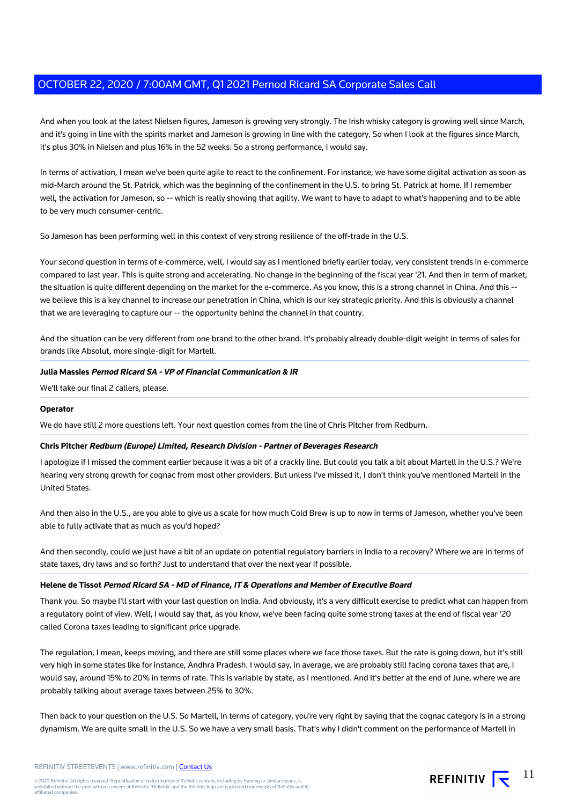And when you look at the latest Nielsen figures, Jameson is growing very strongly. The Irish whisky category is growing well since March, and it's going in line with the spirits market and Jameson is growing in line with the category. So when I look at the figures since March, it's plus 30% in Nielsen and plus 16% in the 52 weeks. So a strong performance, I would say.

In terms of activation, I mean we've been quite agile to react to the confinement. For instance, we have some digital activation as soon as mid-March around the St. Patrick, which was the beginning of the confinement in the U.S. to bring St. Patrick at home. If I remember well, the activation for Jameson, so -- which is really showing that agility. We want to have to adapt to what's happening and to be able to be very much consumer-centric.

So Jameson has been performing well in this context of very strong resilience of the off-trade in the U.S.

Your second question in terms of e-commerce, well, I would say as I mentioned briefly earlier today, very consistent trends in e-commerce compared to last year. This is quite strong and accelerating. No change in the beginning of the fiscal year '21. And then in term of market, the situation is quite different depending on the market for the e-commerce. As you know, this is a strong channel in China. And this - we believe this is a key channel to increase our penetration in China, which is our key strategic priority. And this is obviously a channel that we are leveraging to capture our -- the opportunity behind the channel in that country.

And the situation can be very different from one brand to the other brand. It's probably already double-digit weight in terms of sales for brands like Absolut, more single-digit for Martell.

# **Julia Massies Pernod Ricard SA - VP of Financial Communication & IR**

We'll take our final 2 callers, please.

# **Operator**

We do have still 2 more questions left. Your next question comes from the line of Chris Pitcher from Redburn.

# **Chris Pitcher Redburn (Europe) Limited, Research Division - Partner of Beverages Research**

I apologize if I missed the comment earlier because it was a bit of a crackly line. But could you talk a bit about Martell in the U.S.? We're hearing very strong growth for cognac from most other providers. But unless I've missed it, I don't think you've mentioned Martell in the United States.

And then also in the U.S., are you able to give us a scale for how much Cold Brew is up to now in terms of Jameson, whether you've been able to fully activate that as much as you'd hoped?

And then secondly, could we just have a bit of an update on potential regulatory barriers in India to a recovery? Where we are in terms of state taxes, dry laws and so forth? Just to understand that over the next year if possible.

# **Helene de Tissot Pernod Ricard SA - MD of Finance, IT & Operations and Member of Executive Board**

Thank you. So maybe I'll start with your last question on India. And obviously, it's a very difficult exercise to predict what can happen from a regulatory point of view. Well, I would say that, as you know, we've been facing quite some strong taxes at the end of fiscal year '20 called Corona taxes leading to significant price upgrade.

The regulation, I mean, keeps moving, and there are still some places where we face those taxes. But the rate is going down, but it's still very high in some states like for instance, Andhra Pradesh. I would say, in average, we are probably still facing corona taxes that are, I would say, around 15% to 20% in terms of rate. This is variable by state, as I mentioned. And it's better at the end of June, where we are probably talking about average taxes between 25% to 30%.

Then back to your question on the U.S. So Martell, in terms of category, you're very right by saying that the cognac category is in a strong dynamism. We are quite small in the U.S. So we have a very small basis. That's why I didn't comment on the performance of Martell in

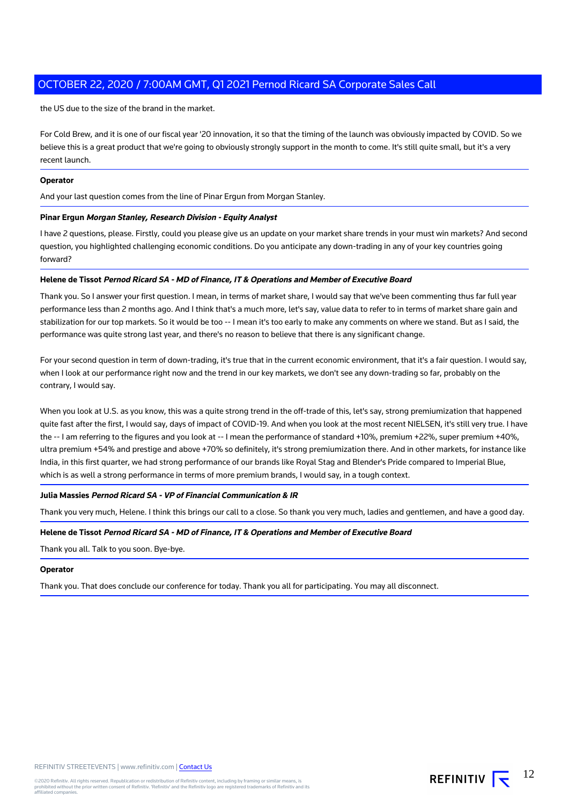the US due to the size of the brand in the market.

For Cold Brew, and it is one of our fiscal year '20 innovation, it so that the timing of the launch was obviously impacted by COVID. So we believe this is a great product that we're going to obviously strongly support in the month to come. It's still quite small, but it's a very recent launch.

# **Operator**

And your last question comes from the line of Pinar Ergun from Morgan Stanley.

### **Pinar Ergun Morgan Stanley, Research Division - Equity Analyst**

I have 2 questions, please. Firstly, could you please give us an update on your market share trends in your must win markets? And second question, you highlighted challenging economic conditions. Do you anticipate any down-trading in any of your key countries going forward?

## **Helene de Tissot Pernod Ricard SA - MD of Finance, IT & Operations and Member of Executive Board**

Thank you. So I answer your first question. I mean, in terms of market share, I would say that we've been commenting thus far full year performance less than 2 months ago. And I think that's a much more, let's say, value data to refer to in terms of market share gain and stabilization for our top markets. So it would be too -- I mean it's too early to make any comments on where we stand. But as I said, the performance was quite strong last year, and there's no reason to believe that there is any significant change.

For your second question in term of down-trading, it's true that in the current economic environment, that it's a fair question. I would say, when I look at our performance right now and the trend in our key markets, we don't see any down-trading so far, probably on the contrary, I would say.

When you look at U.S. as you know, this was a quite strong trend in the off-trade of this, let's say, strong premiumization that happened quite fast after the first, I would say, days of impact of COVID-19. And when you look at the most recent NIELSEN, it's still very true. I have the -- I am referring to the figures and you look at -- I mean the performance of standard +10%, premium +22%, super premium +40%, ultra premium +54% and prestige and above +70% so definitely, it's strong premiumization there. And in other markets, for instance like India, in this first quarter, we had strong performance of our brands like Royal Stag and Blender's Pride compared to Imperial Blue, which is as well a strong performance in terms of more premium brands, I would say, in a tough context.

# **Julia Massies Pernod Ricard SA - VP of Financial Communication & IR**

Thank you very much, Helene. I think this brings our call to a close. So thank you very much, ladies and gentlemen, and have a good day.

# **Helene de Tissot Pernod Ricard SA - MD of Finance, IT & Operations and Member of Executive Board**

Thank you all. Talk to you soon. Bye-bye.

#### **Operator**

Thank you. That does conclude our conference for today. Thank you all for participating. You may all disconnect.